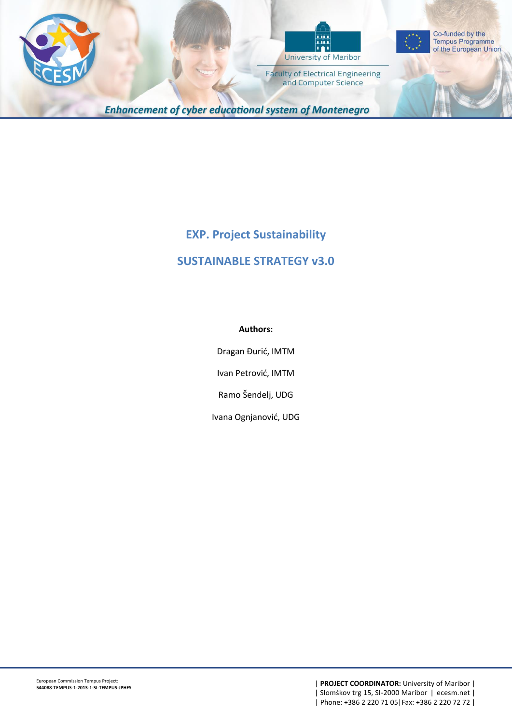





**Faculty of Electrical Engineering** and Computer Science

**Enhancement of cyber educational system of Montenegro** 

# **EXP. Project Sustainability**

# **SUSTAINABLE STRATEGY v3.0**

## **Authors:**

Dragan Đurić, IMTM

Ivan Petrović, IMTM

Ramo Šendelj, UDG

Ivana Ognjanović, UDG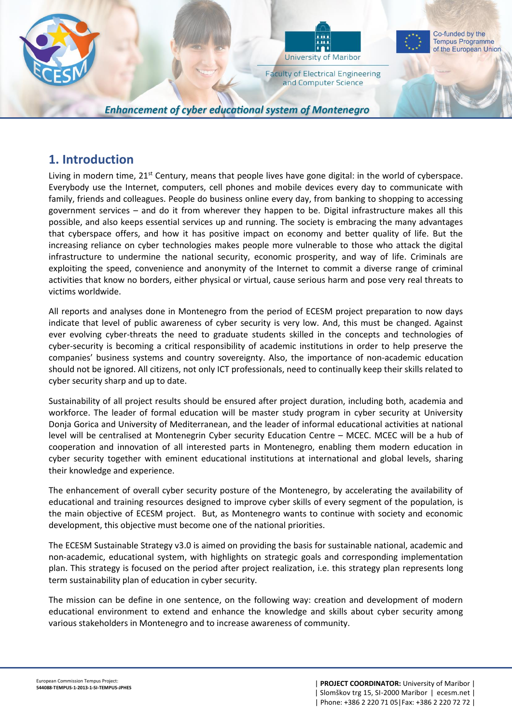

**Enhancement of cyber educational system of Montenegro** 

## **1. Introduction**

Living in modern time, 21<sup>st</sup> Century, means that people lives have gone digital: in the world of cyberspace. Everybody use the Internet, computers, cell phones and mobile devices every day to communicate with family, friends and colleagues. People do business online every day, from banking to shopping to accessing government services – and do it from wherever they happen to be. Digital infrastructure makes all this possible, and also keeps essential services up and running. The society is embracing the many advantages that cyberspace offers, and how it has positive impact on economy and better quality of life. But the increasing reliance on cyber technologies makes people more vulnerable to those who attack the digital infrastructure to undermine the national security, economic prosperity, and way of life. Criminals are exploiting the speed, convenience and anonymity of the Internet to commit a diverse range of criminal activities that know no borders, either physical or virtual, cause serious harm and pose very real threats to victims worldwide.

All reports and analyses done in Montenegro from the period of ECESM project preparation to now days indicate that level of public awareness of cyber security is very low. And, this must be changed. Against ever evolving cyber-threats the need to graduate students skilled in the concepts and technologies of cyber-security is becoming a critical responsibility of academic institutions in order to help preserve the companies' business systems and country sovereignty. Also, the importance of non-academic education should not be ignored. All citizens, not only ICT professionals, need to continually keep their skills related to cyber security sharp and up to date.

Sustainability of all project results should be ensured after project duration, including both, academia and workforce. The leader of formal education will be master study program in cyber security at University Donja Gorica and University of Mediterranean, and the leader of informal educational activities at national level will be centralised at Montenegrin Cyber security Education Centre – MCEC. MCEC will be a hub of cooperation and innovation of all interested parts in Montenegro, enabling them modern education in cyber security together with eminent educational institutions at international and global levels, sharing their knowledge and experience.

The enhancement of overall cyber security posture of the Montenegro, by accelerating the availability of educational and training resources designed to improve cyber skills of every segment of the population, is the main objective of ECESM project. But, as Montenegro wants to continue with society and economic development, this objective must become one of the national priorities.

The ECESM Sustainable Strategy v3.0 is aimed on providing the basis for sustainable national, academic and non-academic, educational system, with highlights on strategic goals and corresponding implementation plan. This strategy is focused on the period after project realization, i.e. this strategy plan represents long term sustainability plan of education in cyber security.

The mission can be define in one sentence, on the following way: creation and development of modern educational environment to extend and enhance the knowledge and skills about cyber security among various stakeholders in Montenegro and to increase awareness of community.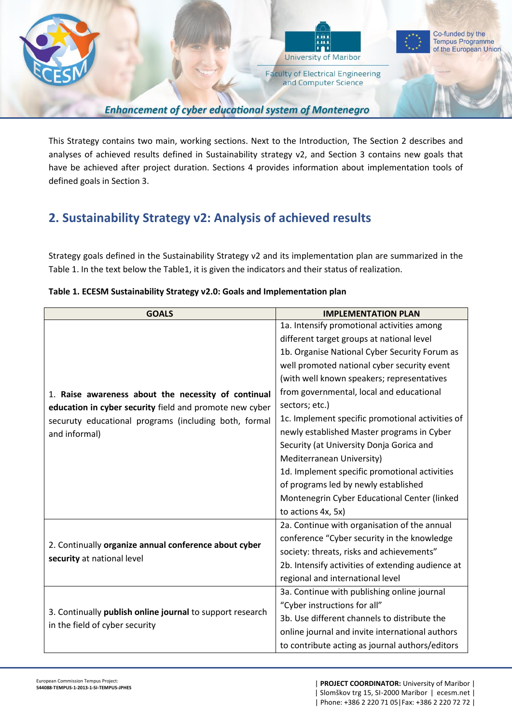

**Enhancement of cyber educational system of Montenegro** 

This Strategy contains two main, working sections. Next to the Introduction, The Section 2 describes and analyses of achieved results defined in Sustainability strategy v2, and Section 3 contains new goals that have be achieved after project duration. Sections 4 provides information about implementation tools of defined goals in Section 3.

# **2. Sustainability Strategy v2: Analysis of achieved results**

Strategy goals defined in the Sustainability Strategy v2 and its implementation plan are summarized in the Table 1. In the text below the Table1, it is given the indicators and their status of realization.

| <b>GOALS</b>                                                                                                                                                                             | <b>IMPLEMENTATION PLAN</b>                        |
|------------------------------------------------------------------------------------------------------------------------------------------------------------------------------------------|---------------------------------------------------|
| 1. Raise awareness about the necessity of continual<br>education in cyber security field and promote new cyber<br>securuty educational programs (including both, formal<br>and informal) | 1a. Intensify promotional activities among        |
|                                                                                                                                                                                          | different target groups at national level         |
|                                                                                                                                                                                          | 1b. Organise National Cyber Security Forum as     |
|                                                                                                                                                                                          | well promoted national cyber security event       |
|                                                                                                                                                                                          | (with well known speakers; representatives        |
|                                                                                                                                                                                          | from governmental, local and educational          |
|                                                                                                                                                                                          | sectors; etc.)                                    |
|                                                                                                                                                                                          | 1c. Implement specific promotional activities of  |
|                                                                                                                                                                                          | newly established Master programs in Cyber        |
|                                                                                                                                                                                          | Security (at University Donja Gorica and          |
|                                                                                                                                                                                          | Mediterranean University)                         |
|                                                                                                                                                                                          | 1d. Implement specific promotional activities     |
|                                                                                                                                                                                          | of programs led by newly established              |
|                                                                                                                                                                                          | Montenegrin Cyber Educational Center (linked      |
|                                                                                                                                                                                          | to actions 4x, 5x)                                |
| 2. Continually organize annual conference about cyber<br>security at national level                                                                                                      | 2a. Continue with organisation of the annual      |
|                                                                                                                                                                                          | conference "Cyber security in the knowledge       |
|                                                                                                                                                                                          | society: threats, risks and achievements"         |
|                                                                                                                                                                                          | 2b. Intensify activities of extending audience at |
|                                                                                                                                                                                          | regional and international level                  |
| 3. Continually publish online journal to support research<br>in the field of cyber security                                                                                              | 3a. Continue with publishing online journal       |
|                                                                                                                                                                                          | "Cyber instructions for all"                      |
|                                                                                                                                                                                          | 3b. Use different channels to distribute the      |
|                                                                                                                                                                                          | online journal and invite international authors   |
|                                                                                                                                                                                          | to contribute acting as journal authors/editors   |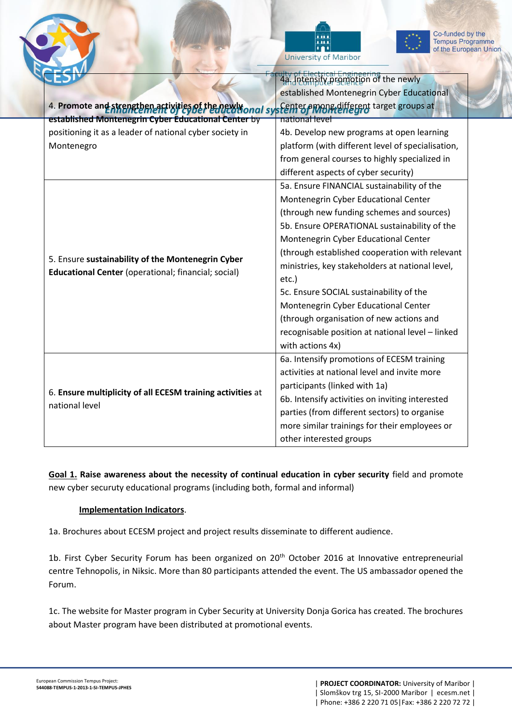



|                                                                                                                 | 4a. Intensity promotion of the newly              |
|-----------------------------------------------------------------------------------------------------------------|---------------------------------------------------|
|                                                                                                                 | established Montenegrin Cyber Educational         |
| 4. Promote and strengthen activities of the newlyonal system es among different target groups at                |                                                   |
| established Montenegrin Cyber Educational Center by                                                             | national level                                    |
| positioning it as a leader of national cyber society in                                                         | 4b. Develop new programs at open learning         |
|                                                                                                                 |                                                   |
| Montenegro                                                                                                      | platform (with different level of specialisation, |
|                                                                                                                 | from general courses to highly specialized in     |
|                                                                                                                 | different aspects of cyber security)              |
| 5. Ensure sustainability of the Montenegrin Cyber<br><b>Educational Center</b> (operational; financial; social) | 5a. Ensure FINANCIAL sustainability of the        |
|                                                                                                                 | Montenegrin Cyber Educational Center              |
|                                                                                                                 | (through new funding schemes and sources)         |
|                                                                                                                 | 5b. Ensure OPERATIONAL sustainability of the      |
|                                                                                                                 | Montenegrin Cyber Educational Center              |
|                                                                                                                 | (through established cooperation with relevant    |
|                                                                                                                 | ministries, key stakeholders at national level,   |
|                                                                                                                 | etc.)                                             |
|                                                                                                                 | 5c. Ensure SOCIAL sustainability of the           |
|                                                                                                                 | Montenegrin Cyber Educational Center              |
|                                                                                                                 | (through organisation of new actions and          |
|                                                                                                                 | recognisable position at national level - linked  |
|                                                                                                                 | with actions 4x)                                  |
| 6. Ensure multiplicity of all ECESM training activities at<br>national level                                    | 6a. Intensify promotions of ECESM training        |
|                                                                                                                 | activities at national level and invite more      |
|                                                                                                                 | participants (linked with 1a)                     |
|                                                                                                                 | 6b. Intensify activities on inviting interested   |
|                                                                                                                 | parties (from different sectors) to organise      |
|                                                                                                                 | more similar trainings for their employees or     |
|                                                                                                                 | other interested groups                           |
|                                                                                                                 |                                                   |

**Goal 1. Raise awareness about the necessity of continual education in cyber security** field and promote new cyber securuty educational programs (including both, formal and informal)

## **Implementation Indicators**.

1a. Brochures about ECESM project and project results disseminate to different audience.

1b. First Cyber Security Forum has been organized on 20<sup>th</sup> October 2016 at Innovative entrepreneurial centre Tehnopolis, in Niksic. More than 80 participants attended the event. The US ambassador opened the Forum.

1c. The website for Master program in Cyber Security at University Donja Gorica has created. The brochures about Master program have been distributed at promotional events.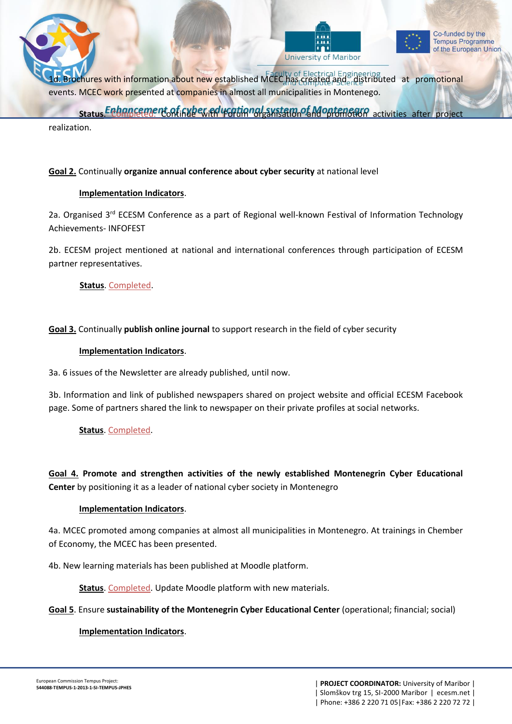





1. Brochures with information about new established MCEC has created and a distributed at promotional events. MCEC work presented at companies in almost all municipalities in Montenego.

**Status. Enhancement of Gyber educational system of Montenegra activities after project status** 

realization.

## **Goal 2.** Continually **organize annual conference about cyber security** at national level

## **Implementation Indicators**.

2a. Organised 3<sup>rd</sup> ECESM Conference as a part of Regional well-known Festival of Information Technology Achievements- INFOFEST

2b. ECESM project mentioned at national and international conferences through participation of ECESM partner representatives.

**Status**. Completed.

## **Goal 3.** Continually **publish online journal** to support research in the field of cyber security

#### **Implementation Indicators**.

3a. 6 issues of the Newsletter are already published, until now.

3b. Information and link of published newspapers shared on project website and official ECESM Facebook page. Some of partners shared the link to newspaper on their private profiles at social networks.

## **Status**. Completed.

**Goal 4. Promote and strengthen activities of the newly established Montenegrin Cyber Educational Center** by positioning it as a leader of national cyber society in Montenegro

## **Implementation Indicators**.

4a. MCEC promoted among companies at almost all municipalities in Montenegro. At trainings in Chember of Economy, the MCEC has been presented.

4b. New learning materials has been published at Moodle platform.

**Status**. Completed. Update Moodle platform with new materials.

**Goal 5**. Ensure **sustainability of the Montenegrin Cyber Educational Center** (operational; financial; social)

## **Implementation Indicators**.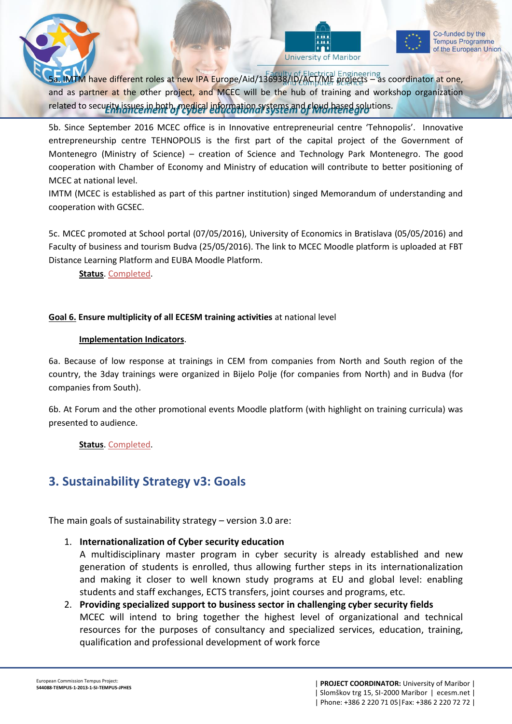





5a. IMTM have different roles at new IPA Europe/Aid/136938/ID/ACT/ME projects – as coordinator at one, and as partner at the other project, and MCEC will be the hub of training and workshop organization related to security issues in both, medical information systems and cloud hased solutions.

5b. Since September 2016 MCEC office is in Innovative entrepreneurial centre 'Tehnopolis'. Innovative entrepreneurship centre TEHNOPOLIS is the first part of the capital project of the Government of Montenegro (Ministry of Science) – creation of Science and Technology Park Montenegro. The good cooperation with Chamber of Economy and Ministry of education will contribute to better positioning of MCEC at national level.

IMTM (MCEC is established as part of this partner institution) singed Memorandum of understanding and cooperation with GCSEC.

5c. MCEC promoted at School portal (07/05/2016), University of Economics in Bratislava (05/05/2016) and Faculty of business and tourism Budva (25/05/2016). The link to MCEC Moodle platform is uploaded at FBT Distance Learning Platform and EUBA Moodle Platform.

**Status**. Completed.

## **Goal 6. Ensure multiplicity of all ECESM training activities** at national level

## **Implementation Indicators**.

6a. Because of low response at trainings in CEM from companies from North and South region of the country, the 3day trainings were organized in Bijelo Polje (for companies from North) and in Budva (for companies from South).

6b. At Forum and the other promotional events Moodle platform (with highlight on training curricula) was presented to audience.

**Status**. Completed.

# **3. Sustainability Strategy v3: Goals**

The main goals of sustainability strategy – version 3.0 are:

## 1. **Internationalization of Cyber security education**

A multidisciplinary master program in cyber security is already established and new generation of students is enrolled, thus allowing further steps in its internationalization and making it closer to well known study programs at EU and global level: enabling students and staff exchanges, ECTS transfers, joint courses and programs, etc.

2. **Providing specialized support to business sector in challenging cyber security fields** MCEC will intend to bring together the highest level of organizational and technical resources for the purposes of consultancy and specialized services, education, training, qualification and professional development of work force